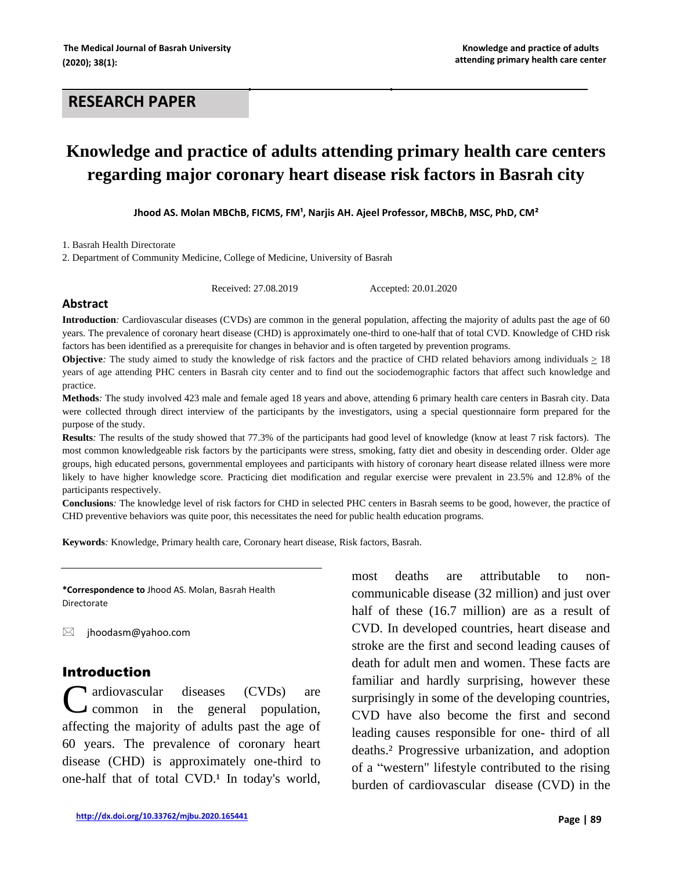# **RESEARCH PAPER**

# **Knowledge and practice of adults attending primary health care centers regarding major coronary heart disease risk factors in Basrah city**

Jhood AS. Molan MBChB, FICMS, FM<sup>1</sup>, Narjis AH. Ajeel Professor, MBChB, MSC, PhD, CM<sup>2</sup>

1. Basrah Health Directorate

2. Department of Community Medicine, College of Medicine, University of Basrah

Received: 27.08.2019 Accepted: 20.01.2020

#### **Abstract**

**Introduction***:* Cardiovascular diseases (CVDs) are common in the general population, affecting the majority of adults past the age of 60 years. The prevalence of coronary heart disease (CHD) is approximately one-third to one-half that of total CVD. Knowledge of CHD risk factors has been identified as a prerequisite for changes in behavior and is often targeted by prevention programs.

**Objective**: The study aimed to study the knowledge of risk factors and the practice of CHD related behaviors among individuals  $\geq 18$ years of age attending PHC centers in Basrah city center and to find out the sociodemographic factors that affect such knowledge and practice.

**Methods***:* The study involved 423 male and female aged 18 years and above, attending 6 primary health care centers in Basrah city. Data were collected through direct interview of the participants by the investigators, using a special questionnaire form prepared for the purpose of the study.

**Results***:* The results of the study showed that 77.3% of the participants had good level of knowledge (know at least 7 risk factors). The most common knowledgeable risk factors by the participants were stress, smoking, fatty diet and obesity in descending order. Older age groups, high educated persons, governmental employees and participants with history of coronary heart disease related illness were more likely to have higher knowledge score*.* Practicing diet modification and regular exercise were prevalent in 23.5% and 12.8% of the participants respectively.

**Conclusions***:* The knowledge level of risk factors for CHD in selected PHC centers in Basrah seems to be good, however, the practice of CHD preventive behaviors was quite poor, this necessitates the need for public health education programs.

**Keywords***:* Knowledge, Primary health care, Coronary heart disease, Risk factors, Basrah.

**\*Correspondence to** Jhood AS. Molan, Basrah Health Directorate

 $\boxtimes$  [jhoodasm@yahoo.com](mailto:jhoodasm@yahoo.com)

#### Introduction

ardiovascular diseases (CVDs) are common in the general population, affecting the majority of adults past the age of 60 years. The prevalence of coronary heart disease (CHD) is approximately one-third to one-half that of total CVD.<sup>1</sup> In today's world, C

most deaths are attributable to noncommunicable disease (32 million) and just over half of these (16.7 million) are as a result of CVD. In developed countries, heart disease and stroke are the first and second leading causes of death for adult men and women. These facts are familiar and hardly surprising, however these surprisingly in some of the developing countries, CVD have also become the first and second leading causes responsible for one- third of all deaths.² Progressive urbanization, and adoption of a "western" lifestyle contributed to the rising burden of cardiovascular disease (CVD) in the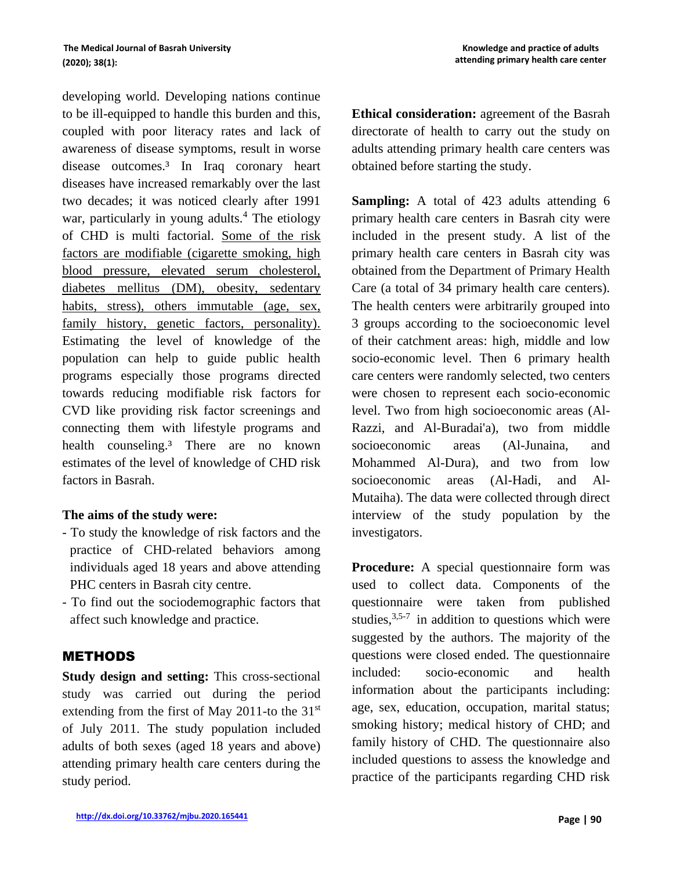developing world. Developing nations continue to be ill-equipped to handle this burden and this, coupled with poor literacy rates and lack of awareness of disease symptoms, result in worse disease outcomes.<sup>3</sup> In Iraq coronary heart diseases have increased remarkably over the last two decades; it was noticed clearly after 1991 war, particularly in young adults. $4$  The etiology of CHD is multi factorial. Some of the risk factors are modifiable (cigarette smoking, high blood pressure, elevated serum cholesterol, diabetes mellitus (DM), obesity, sedentary habits, stress), others immutable (age, sex, family history, genetic factors, personality). Estimating the level of knowledge of the population can help to guide public health programs especially those programs directed towards reducing modifiable risk factors for CVD like providing risk factor screenings and connecting them with lifestyle programs and health counseling.<sup>3</sup> There are no known estimates of the level of knowledge of CHD risk factors in Basrah.

#### **The aims of the study were:**

- *-* To study the knowledge of risk factors and the practice of CHD-related behaviors among individuals aged 18 years and above attending PHC centers in Basrah city centre.
- To find out the sociodemographic factors that affect such knowledge and practice.

## METHODS

**Study design and setting:** This cross-sectional study was carried out during the period extending from the first of May 2011-to the  $31<sup>st</sup>$ of July 2011. The study population included adults of both sexes (aged 18 years and above) attending primary health care centers during the study period.

**Ethical consideration:** agreement of the Basrah directorate of health to carry out the study on adults attending primary health care centers was obtained before starting the study.

**Sampling:** A total of 423 adults attending 6 primary health care centers in Basrah city were included in the present study. A list of the primary health care centers in Basrah city was obtained from the Department of Primary Health Care (a total of 34 primary health care centers). The health centers were arbitrarily grouped into 3 groups according to the socioeconomic level of their catchment areas: high, middle and low socio-economic level. Then 6 primary health care centers were randomly selected, two centers were chosen to represent each socio-economic level. Two from high socioeconomic areas (Al-Razzi, and Al-Buradai'a), two from middle socioeconomic areas (Al-Junaina, and Mohammed Al-Dura), and two from low socioeconomic areas (Al-Hadi, and Al-Mutaiha). The data were collected through direct interview of the study population by the investigators.

**Procedure:** A special questionnaire form was used to collect data. Components of the questionnaire were taken from published studies,  $3,5-7$  in addition to questions which were suggested by the authors. The majority of the questions were closed ended. The questionnaire included: socio-economic and health information about the participants including: age, sex, education, occupation, marital status; smoking history; medical history of CHD; and family history of CHD. The questionnaire also included questions to assess the knowledge and practice of the participants regarding CHD risk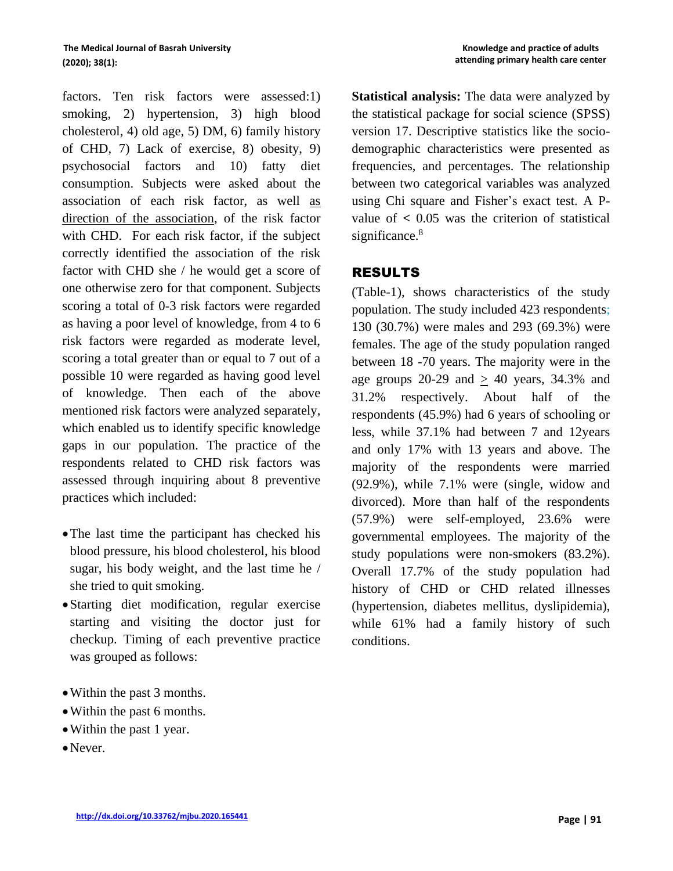factors. Ten risk factors were assessed:1) smoking, 2) hypertension, 3) high blood cholesterol, 4) old age, 5) DM, 6) family history of CHD, 7) Lack of exercise, 8) obesity, 9) psychosocial factors and 10) fatty diet consumption. Subjects were asked about the association of each risk factor, as well as direction of the association, of the risk factor with CHD. For each risk factor, if the subject correctly identified the association of the risk factor with CHD she / he would get a score of one otherwise zero for that component. Subjects scoring a total of 0-3 risk factors were regarded as having a poor level of knowledge, from 4 to 6 risk factors were regarded as moderate level, scoring a total greater than or equal to 7 out of a possible 10 were regarded as having good level of knowledge. Then each of the above mentioned risk factors were analyzed separately, which enabled us to identify specific knowledge gaps in our population. The practice of the respondents related to CHD risk factors was assessed through inquiring about 8 preventive practices which included:

- •The last time the participant has checked his blood pressure, his blood cholesterol, his blood sugar, his body weight, and the last time he / she tried to quit smoking.
- •Starting diet modification, regular exercise starting and visiting the doctor just for checkup. Timing of each preventive practice was grouped as follows:
- Within the past 3 months.
- Within the past 6 months.
- Within the past 1 year.
- Never.

**Statistical analysis:** The data were analyzed by the statistical package for social science (SPSS) version 17. Descriptive statistics like the sociodemographic characteristics were presented as frequencies, and percentages. The relationship between two categorical variables was analyzed using Chi square and Fisher's exact test. A Pvalue of **<** 0.05 was the criterion of statistical significance.<sup>8</sup>

## RESULTS

(Table-1), shows characteristics of the study population. The study included 423 respondents; 130 (30.7%) were males and 293 (69.3%) were females. The age of the study population ranged between 18 -70 years. The majority were in the age groups  $20-29$  and  $> 40$  years,  $34.3\%$  and 31.2% respectively. About half of the respondents (45.9%) had 6 years of schooling or less, while 37.1% had between 7 and 12years and only 17% with 13 years and above. The majority of the respondents were married (92.9%), while 7.1% were (single, widow and divorced). More than half of the respondents (57.9%) were self-employed, 23.6% were governmental employees. The majority of the study populations were non-smokers (83.2%). Overall 17.7% of the study population had history of CHD or CHD related illnesses (hypertension, diabetes mellitus, dyslipidemia), while 61% had a family history of such conditions.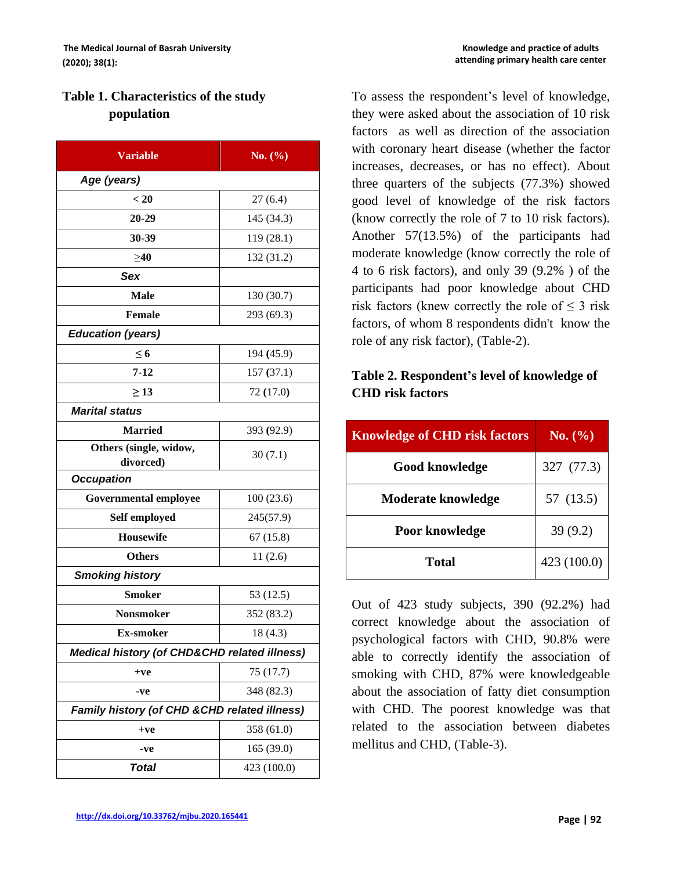# **Table 1. Characteristics of the study population**

| <b>Variable</b>                                         | No. $(\% )$ |  |  |  |
|---------------------------------------------------------|-------------|--|--|--|
| Age (years)                                             |             |  |  |  |
| < 20                                                    | 27(6.4)     |  |  |  |
| 20-29                                                   | 145 (34.3)  |  |  |  |
| 30-39                                                   | 119(28.1)   |  |  |  |
| $\geq 40$                                               | 132 (31.2)  |  |  |  |
| Sex                                                     |             |  |  |  |
| <b>Male</b>                                             | 130(30.7)   |  |  |  |
| Female                                                  | 293 (69.3)  |  |  |  |
| <b>Education (years)</b>                                |             |  |  |  |
| $\leq 6$                                                | 194 (45.9)  |  |  |  |
| $7 - 12$                                                | 157(37.1)   |  |  |  |
| $\geq$ 13                                               | 72 (17.0)   |  |  |  |
| <b>Marital status</b>                                   |             |  |  |  |
| <b>Married</b>                                          | 393 (92.9)  |  |  |  |
| Others (single, widow,                                  | 30(7.1)     |  |  |  |
| divorced)<br><b>Occupation</b>                          |             |  |  |  |
| <b>Governmental employee</b>                            | 100(23.6)   |  |  |  |
| Self employed                                           | 245(57.9)   |  |  |  |
| <b>Housewife</b>                                        | 67(15.8)    |  |  |  |
| <b>Others</b>                                           | 11(2.6)     |  |  |  |
| <b>Smoking history</b>                                  |             |  |  |  |
| <b>Smoker</b>                                           | 53 (12.5)   |  |  |  |
| <b>Nonsmoker</b>                                        | 352 (83.2)  |  |  |  |
| <b>Ex-smoker</b>                                        | 18 (4.3)    |  |  |  |
| <b>Medical history (of CHD&amp;CHD related illness)</b> |             |  |  |  |
| $+ve$                                                   | 75 (17.7)   |  |  |  |
| -ve                                                     | 348 (82.3)  |  |  |  |
| Family history (of CHD & CHD related illness)           |             |  |  |  |
| $+ve$                                                   | 358 (61.0)  |  |  |  |
| -ve                                                     | 165 (39.0)  |  |  |  |
| <b>Total</b>                                            | 423 (100.0) |  |  |  |

To assess the respondent's level of knowledge, they were asked about the association of 10 risk factors as well as direction of the association with coronary heart disease (whether the factor increases, decreases, or has no effect). About three quarters of the subjects (77.3%) showed good level of knowledge of the risk factors (know correctly the role of 7 to 10 risk factors). Another 57(13.5%) of the participants had moderate knowledge (know correctly the role of 4 to 6 risk factors), and only 39 (9.2% ) of the participants had poor knowledge about CHD risk factors (knew correctly the role of  $\leq$  3 risk factors, of whom 8 respondents didn't know the role of any risk factor), (Table-2).

# **Table 2. Respondent's level of knowledge of CHD risk factors**

| <b>Knowledge of CHD risk factors</b> | No. (%)     |  |
|--------------------------------------|-------------|--|
| <b>Good knowledge</b>                | 327 (77.3)  |  |
| <b>Moderate knowledge</b>            | 57 (13.5)   |  |
| Poor knowledge                       | 39(9.2)     |  |
| Total                                | 423 (100.0) |  |

Out of 423 study subjects, 390 (92.2%) had correct knowledge about the association of psychological factors with CHD, 90.8% were able to correctly identify the association of smoking with CHD, 87% were knowledgeable about the association of fatty diet consumption with CHD. The poorest knowledge was that related to the association between diabetes mellitus and CHD, (Table-3).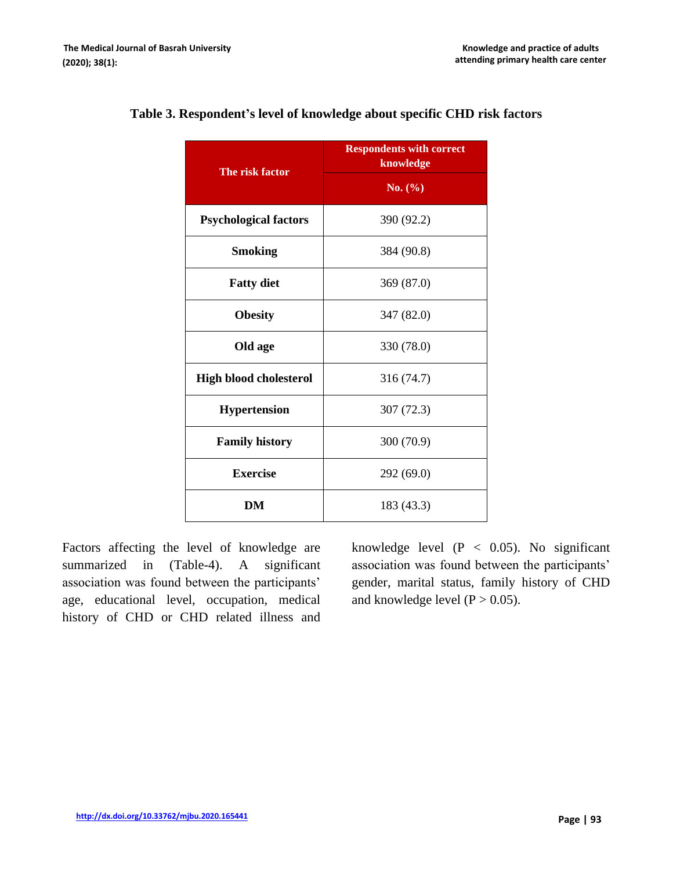| The risk factor               | <b>Respondents with correct</b><br>knowledge |  |
|-------------------------------|----------------------------------------------|--|
|                               | No. (%)                                      |  |
| <b>Psychological factors</b>  | 390 (92.2)                                   |  |
| <b>Smoking</b>                | 384 (90.8)                                   |  |
| <b>Fatty diet</b>             | 369 (87.0)                                   |  |
| <b>Obesity</b>                | 347 (82.0)                                   |  |
| Old age                       | 330 (78.0)                                   |  |
| <b>High blood cholesterol</b> | 316 (74.7)                                   |  |
| <b>Hypertension</b>           | 307(72.3)                                    |  |
| <b>Family history</b>         | 300 (70.9)                                   |  |
| <b>Exercise</b>               | 292 (69.0)                                   |  |
| DM                            | 183 (43.3)                                   |  |

#### **Table 3. Respondent's level of knowledge about specific CHD risk factors**

Factors affecting the level of knowledge are summarized in (Table-4). A significant association was found between the participants' age, educational level, occupation, medical history of CHD or CHD related illness and knowledge level  $(P < 0.05)$ . No significant association was found between the participants' gender, marital status, family history of CHD and knowledge level  $(P > 0.05)$ .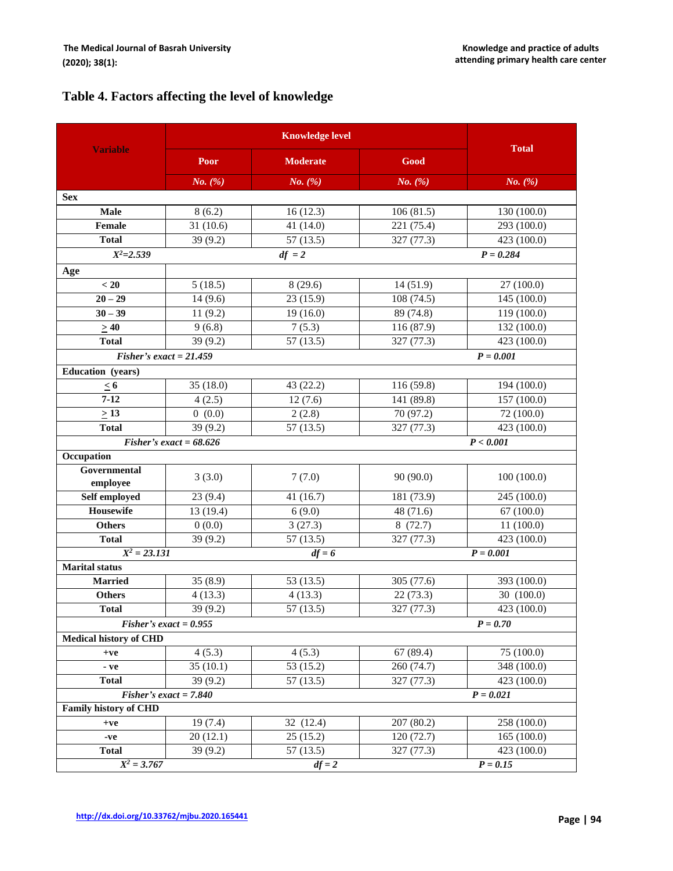# **Table 4. Factors affecting the level of knowledge**

|                                         | <b>Knowledge level</b>    |                 |              |              |
|-----------------------------------------|---------------------------|-----------------|--------------|--------------|
| <b>Variable</b>                         | Poor                      | <b>Moderate</b> | Good         | <b>Total</b> |
|                                         | $No.$ $(\%)$              | No. $(\%)$      | $No.$ $(\%)$ | $No.$ $(\%)$ |
| <b>Sex</b>                              |                           |                 |              |              |
| <b>Male</b>                             | 8(6.2)                    | 16(12.3)        | 106(81.5)    | 130 (100.0)  |
| Female                                  | 31(10.6)                  | 41 (14.0)       | 221 (75.4)   | 293 (100.0)  |
| <b>Total</b>                            | 39 (9.2)                  | 57(13.5)        | 327 (77.3)   | 423 (100.0)  |
| $X^2 = 2.539$                           |                           | $df = 2$        |              | $P = 0.284$  |
| Age                                     |                           |                 |              |              |
| < 20                                    | 5(18.5)                   | 8(29.6)         | 14(51.9)     | 27 (100.0)   |
| $20 - 29$                               | 14(9.6)                   | 23 (15.9)       | 108 (74.5)   | 145 (100.0)  |
| $30 - 39$                               | 11(9.2)                   | 19(16.0)        | 89 (74.8)    | 119 (100.0)  |
| $\geq 40$                               | 9(6.8)                    | 7(5.3)          | 116 (87.9)   | 132 (100.0)  |
| <b>Total</b>                            | 39 (9.2)                  | 57(13.5)        | 327 (77.3)   | 423 (100.0)  |
| Fisher's exact = $21.459$               |                           |                 |              | $P = 0.001$  |
| Education (years)                       |                           |                 |              |              |
| $\leq 6$                                | 35 (18.0)                 | 43 (22.2)       | 116 (59.8)   | 194 (100.0)  |
| $7 - 12$                                | 4(2.5)                    | 12(7.6)         | 141 (89.8)   | 157 (100.0)  |
| $\geq$ 13                               | 0(0.0)                    | 2(2.8)          | 70 (97.2)    | 72 (100.0)   |
| <b>Total</b>                            | 39 (9.2)                  | 57(13.5)        | 327 (77.3)   | 423 (100.0)  |
|                                         | Fisher's exact = $68.626$ |                 |              | P < 0.001    |
| Occupation                              |                           |                 |              |              |
| Governmental<br>employee                | 3(3.0)                    | 7(7.0)          | 90 (90.0)    | 100(100.0)   |
| Self employed                           | 23(9.4)                   | 41(16.7)        | 181 (73.9)   | 245 (100.0)  |
| Housewife                               | 13 (19.4)                 | 6(9.0)          | 48 (71.6)    | 67(100.0)    |
| <b>Others</b>                           | 0(0.0)                    | 3(27.3)         | 8(72.7)      | 11(100.0)    |
| <b>Total</b>                            | 39 (9.2)                  | 57(13.5)        | 327 (77.3)   | 423 (100.0)  |
| $X^2 = 23.131$                          | $P = 0.001$<br>$df = 6$   |                 |              |              |
| <b>Marital</b> status                   |                           |                 |              |              |
| <b>Married</b>                          | 35(8.9)                   | 53 (13.5)       | 305 (77.6)   | 393 (100.0)  |
| <b>Others</b>                           | 4(13.3)                   | 4(13.3)         | 22(73.3)     | 30 (100.0)   |
| <b>Total</b>                            | 39 (9.2)                  | 57(13.5)        | 327 (77.3)   | 423 (100.0)  |
|                                         | Fisher's exact $= 0.955$  |                 |              | $P = 0.70$   |
| <b>Medical history of CHD</b>           |                           |                 |              |              |
| $+ve$                                   | 4(5.3)                    | 4(5.3)          | 67(89.4)     | 75 (100.0)   |
| - ve                                    | 35(10.1)                  | 53 (15.2)       | 260 (74.7)   | 348 (100.0)  |
| <b>Total</b>                            | 39(9.2)                   | 57(13.5)        | 327 (77.3)   | 423 (100.0)  |
| Fisher's exact $= 7.840$<br>$P = 0.021$ |                           |                 |              |              |
| <b>Family history of CHD</b>            |                           |                 |              |              |
| $+ve$                                   | 19(7.4)                   | 32 (12.4)       | 207(80.2)    | 258 (100.0)  |
| -ve                                     | 20(12.1)                  | 25(15.2)        | 120 (72.7)   | 165(100.0)   |
| <b>Total</b>                            | 39(9.2)                   | 57(13.5)        | 327 (77.3)   | 423 (100.0)  |
| $X^2 = 3.767$                           |                           | $df = 2$        |              | $P = 0.15$   |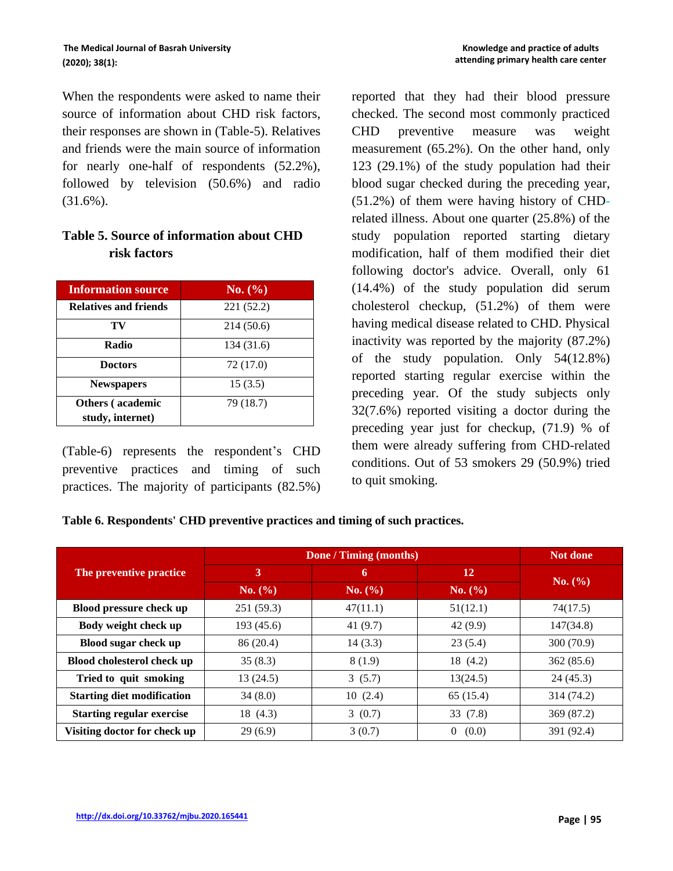When the respondents were asked to name their source of information about CHD risk factors, their responses are shown in (Table-5). Relatives and friends were the main source of information for nearly one-half of respondents (52.2%), followed by television (50.6%) and radio (31.6%).

## **Table 5. Source of information about CHD risk factors**

| <b>Information source</b>    | No. (%)    |
|------------------------------|------------|
| <b>Relatives and friends</b> | 221 (52.2) |
| TV                           | 214 (50.6) |
| Radio                        | 134 (31.6) |
| <b>Doctors</b>               | 72 (17.0)  |
| <b>Newspapers</b>            | 15(3.5)    |
| <b>Others</b> (academic      | 79 (18.7)  |
| study, internet)             |            |

(Table-6) represents the respondent's CHD preventive practices and timing of such practices. The majority of participants (82.5%) reported that they had their blood pressure checked. The second most commonly practiced CHD preventive measure was weight measurement (65.2%). On the other hand, only 123 (29.1%) of the study population had their blood sugar checked during the preceding year, (51.2%) of them were having history of CHDrelated illness. About one quarter (25.8%) of the study population reported starting dietary modification, half of them modified their diet following doctor's advice. Overall, only 61 (14.4%) of the study population did serum cholesterol checkup, (51.2%) of them were having medical disease related to CHD. Physical inactivity was reported by the majority (87.2%) of the study population. Only 54(12.8%) reported starting regular exercise within the preceding year. Of the study subjects only 32(7.6%) reported visiting a doctor during the preceding year just for checkup, (71.9) % of them were already suffering from CHD-related conditions. Out of 53 smokers 29 (50.9%) tried to quit smoking.

**Table 6. Respondents' CHD preventive practices and timing of such practices.**

|                                   | Done / Timing (months) |            |                         | <b>Not done</b> |
|-----------------------------------|------------------------|------------|-------------------------|-----------------|
| The preventive practice           | 3                      | 6          | <b>12</b>               | No. (%)         |
|                                   | No. (%)                | No. (%)    | No. (%)                 |                 |
| Blood pressure check up           | 251(59.3)              | 47(11.1)   | 51(12.1)                | 74(17.5)        |
| Body weight check up              | 193(45.6)              | 41 $(9.7)$ | 42(9.9)                 | 147(34.8)       |
| Blood sugar check up              | 86 (20.4)              | 14(3.3)    | 23(5.4)                 | 300(70.9)       |
| <b>Blood cholesterol check up</b> | 35(8.3)                | 8(1.9)     | 18 (4.2)                | 362(85.6)       |
| Tried to quit smoking             | 13(24.5)               | 3(5.7)     | 13(24.5)                | 24(45.3)        |
| <b>Starting diet modification</b> | 34(8.0)                | 10(2.4)    | 65(15.4)                | 314 (74.2)      |
| <b>Starting regular exercise</b>  | 18 (4.3)               | 3(0.7)     | 33(7.8)                 | 369 (87.2)      |
| Visiting doctor for check up      | 29(6.9)                | 3(0.7)     | (0.0)<br>$\overline{0}$ | 391 (92.4)      |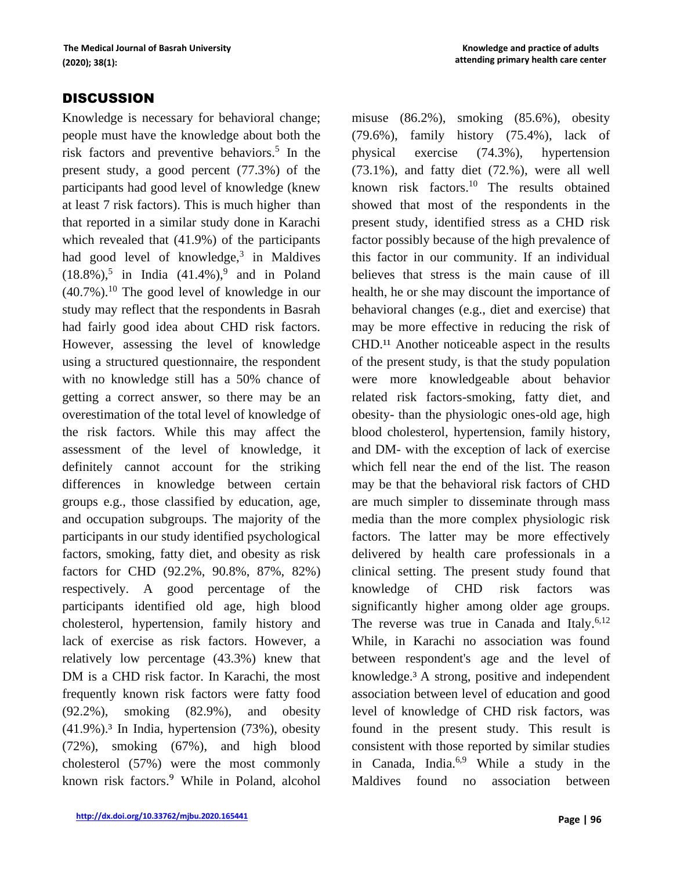## **DISCUSSION**

Knowledge is necessary for behavioral change; people must have the knowledge about both the risk factors and preventive behaviors. 5 In the present study, a good percent (77.3%) of the participants had good level of knowledge (knew at least 7 risk factors). This is much higher than that reported in a similar study done in Karachi which revealed that (41.9%) of the participants had good level of knowledge,<sup>3</sup> in Maldives  $(18.8\%)$ ,<sup>5</sup> in India  $(41.4\%)$ ,<sup>9</sup> and in Poland  $(40.7\%)$ <sup>10</sup>. The good level of knowledge in our study may reflect that the respondents in Basrah had fairly good idea about CHD risk factors. However, assessing the level of knowledge using a structured questionnaire, the respondent with no knowledge still has a 50% chance of getting a correct answer, so there may be an overestimation of the total level of knowledge of the risk factors. While this may affect the assessment of the level of knowledge, it definitely cannot account for the striking differences in knowledge between certain groups e.g., those classified by education, age, and occupation subgroups. The majority of the participants in our study identified psychological factors, smoking, fatty diet, and obesity as risk factors for CHD (92.2%, 90.8%, 87%, 82%) respectively. A good percentage of the participants identified old age, high blood cholesterol, hypertension, family history and lack of exercise as risk factors. However, a relatively low percentage (43.3%) knew that DM is a CHD risk factor. In Karachi, the most frequently known risk factors were fatty food (92.2%), smoking (82.9%), and obesity  $(41.9\%)$ .<sup>3</sup> In India, hypertension  $(73\%)$ , obesity (72%), smoking (67%), and high blood cholesterol (57%) were the most commonly known risk factors.⁹ While in Poland, alcohol misuse (86.2%), smoking (85.6%), obesity (79.6%), family history (75.4%), lack of physical exercise (74.3%), hypertension (73.1%), and fatty diet (72.%), were all well known risk factors. $10$  The results obtained showed that most of the respondents in the present study, identified stress as a CHD risk factor possibly because of the high prevalence of this factor in our community. If an individual believes that stress is the main cause of ill health, he or she may discount the importance of behavioral changes (e.g., diet and exercise) that may be more effective in reducing the risk of CHD.<sup>11</sup> Another noticeable aspect in the results of the present study, is that the study population were more knowledgeable about behavior related risk factors-smoking, fatty diet, and obesity- than the physiologic ones-old age, high blood cholesterol, hypertension, family history, and DM- with the exception of lack of exercise which fell near the end of the list. The reason may be that the behavioral risk factors of CHD are much simpler to disseminate through mass media than the more complex physiologic risk factors. The latter may be more effectively delivered by health care professionals in a clinical setting. The present study found that knowledge of CHD risk factors was significantly higher among older age groups. The reverse was true in Canada and Italy.<sup>6,12</sup> While, in Karachi no association was found between respondent's age and the level of knowledge.³ A strong, positive and independent association between level of education and good level of knowledge of CHD risk factors, was found in the present study. This result is consistent with those reported by similar studies in Canada, India.<sup>6,9</sup> While a study in the Maldives found no association between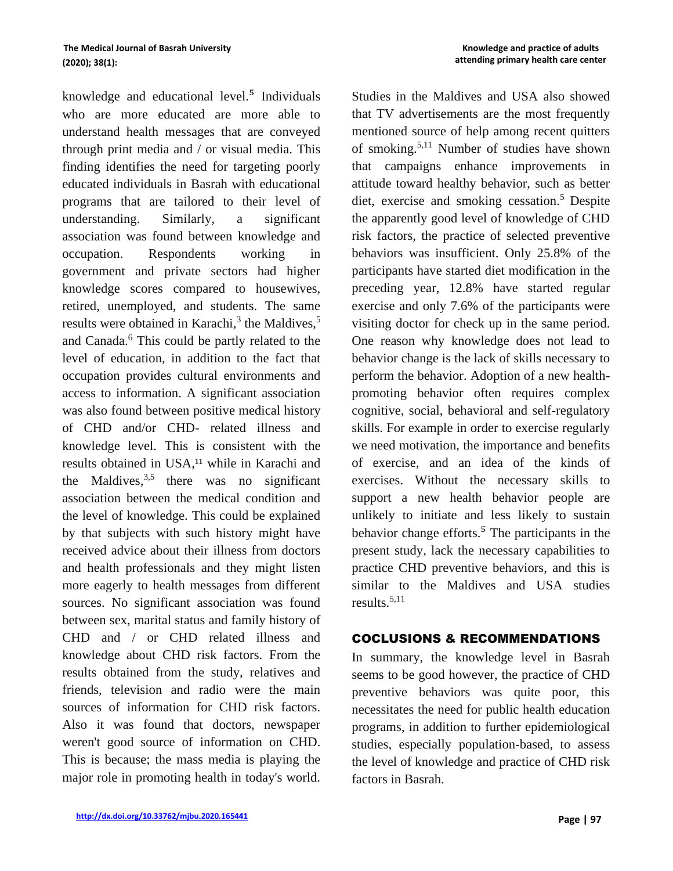knowledge and educational level.<sup>5</sup> Individuals who are more educated are more able to understand health messages that are conveyed through print media and / or visual media. This finding identifies the need for targeting poorly educated individuals in Basrah with educational programs that are tailored to their level of understanding. Similarly, a significant association was found between knowledge and occupation. Respondents working in government and private sectors had higher knowledge scores compared to housewives, retired, unemployed, and students. The same results were obtained in Karachi,<sup>3</sup> the Maldives,<sup>5</sup> and Canada.<sup>6</sup> This could be partly related to the level of education, in addition to the fact that occupation provides cultural environments and access to information. A significant association was also found between positive medical history of CHD and/or CHD- related illness and knowledge level. This is consistent with the results obtained in USA,<sup>11</sup> while in Karachi and the Maldives,  $3.5$  there was no significant association between the medical condition and the level of knowledge. This could be explained by that subjects with such history might have received advice about their illness from doctors and health professionals and they might listen more eagerly to health messages from different sources. No significant association was found between sex, marital status and family history of CHD and / or CHD related illness and knowledge about CHD risk factors. From the results obtained from the study, relatives and friends, television and radio were the main sources of information for CHD risk factors. Also it was found that doctors, newspaper weren't good source of information on CHD. This is because; the mass media is playing the major role in promoting health in today's world. Studies in the Maldives and USA also showed that TV advertisements are the most frequently mentioned source of help among recent quitters of smoking.5,11 Number of studies have shown that campaigns enhance improvements in attitude toward healthy behavior, such as better diet, exercise and smoking cessation.<sup>5</sup> Despite the apparently good level of knowledge of CHD risk factors, the practice of selected preventive behaviors was insufficient. Only 25.8% of the participants have started diet modification in the preceding year, 12.8% have started regular exercise and only 7.6% of the participants were visiting doctor for check up in the same period. One reason why knowledge does not lead to behavior change is the lack of skills necessary to perform the behavior. Adoption of a new healthpromoting behavior often requires complex cognitive, social, behavioral and self-regulatory skills. For example in order to exercise regularly we need motivation, the importance and benefits of exercise, and an idea of the kinds of exercises. Without the necessary skills to support a new health behavior people are unlikely to initiate and less likely to sustain behavior change efforts.<sup>5</sup> The participants in the present study, lack the necessary capabilities to practice CHD preventive behaviors, and this is similar to the Maldives and USA studies results. 5,11

#### COCLUSIONS & RECOMMENDATIONS

In summary, the knowledge level in Basrah seems to be good however, the practice of CHD preventive behaviors was quite poor, this necessitates the need for public health education programs, in addition to further epidemiological studies, especially population-based, to assess the level of knowledge and practice of CHD risk factors in Basrah.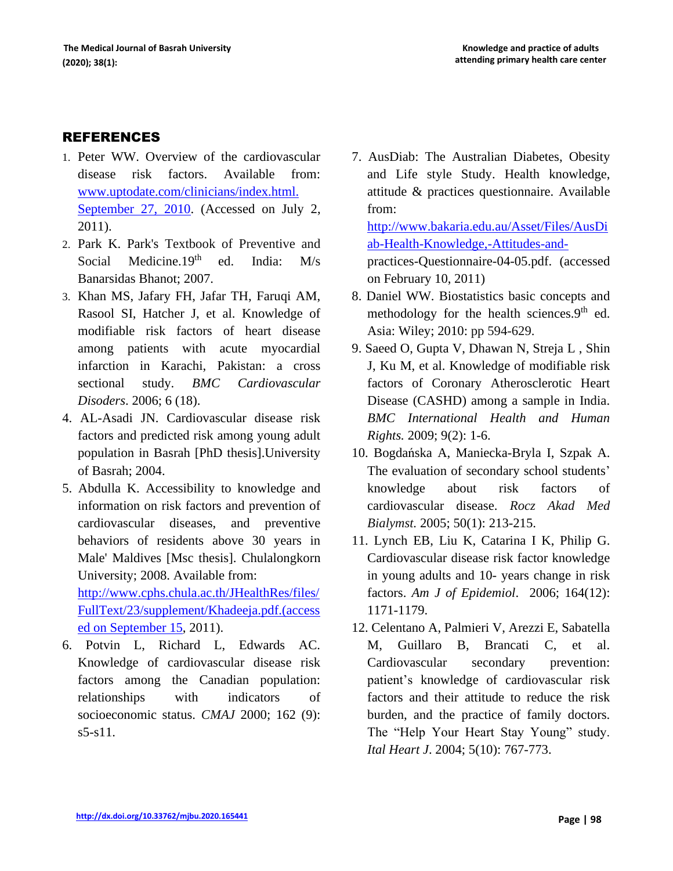## REFERENCES

- 1. Peter WW. Overview of the cardiovascular disease risk factors. Available from: [www.uptodate.com/clinicians/index.html.](http://www.uptodate.com/clinicians/index.html.%20September%2027,%202010)  [September 27, 2010.](http://www.uptodate.com/clinicians/index.html.%20September%2027,%202010) (Accessed on July 2, 2011).
- 2. Park K. Park's Textbook of Preventive and Social Medicine.19<sup>th</sup> ed. India: M/s Banarsidas Bhanot; 2007.
- 3. Khan MS, Jafary FH, Jafar TH, Faruqi AM, Rasool SI, Hatcher J, et al. Knowledge of modifiable risk factors of heart disease among patients with acute myocardial infarction in Karachi, Pakistan: a cross sectional study. *BMC Cardiovascular Disoders*. 2006; 6 (18).
- 4. AL-Asadi JN. Cardiovascular disease risk factors and predicted risk among young adult population in Basrah [PhD thesis].University of Basrah; 2004.
- 5. Abdulla K. Accessibility to knowledge and information on risk factors and prevention of cardiovascular diseases, and preventive behaviors of residents above 30 years in Male' Maldives [Msc thesis]. Chulalongkorn University; 2008. Available from:

[http://www.cphs.chula.ac.th/JHealthRes/files/](http://www.cphs.chula.ac.th/JHealthRes/files/FullText/23/supplement/Khadeeja.pdf.(accessed%20on%20September%2015) [FullText/23/supplement/Khadeeja.pdf.\(access](http://www.cphs.chula.ac.th/JHealthRes/files/FullText/23/supplement/Khadeeja.pdf.(accessed%20on%20September%2015) [ed on September 15,](http://www.cphs.chula.ac.th/JHealthRes/files/FullText/23/supplement/Khadeeja.pdf.(accessed%20on%20September%2015) 2011).

6. Potvin L, Richard L, Edwards AC. Knowledge of cardiovascular disease risk factors among the Canadian population: relationships with indicators of socioeconomic status. *CMAJ* 2000; 162 (9): s5-s11.

7. AusDiab: The Australian Diabetes, Obesity and Life style Study. Health knowledge, attitude & practices questionnaire. Available from:

[http://www.bakaria.edu.au/Asset/Files/AusDi](http://www.bakaria.edu.au/Asset/Files/AusDiab-Health-Knowledge,-Attitudes-and-) [ab-Health-Knowledge,-Attitudes-and](http://www.bakaria.edu.au/Asset/Files/AusDiab-Health-Knowledge,-Attitudes-and-)practices-Questionnaire-04-05.pdf. (accessed on February 10, 2011)

- 8. Daniel WW. Biostatistics basic concepts and methodology for the health sciences. $9<sup>th</sup>$  ed. Asia: Wiley; 2010: pp 594-629.
- 9. Saeed O, Gupta V, Dhawan N, Streja L , Shin J, Ku M, et al. Knowledge of modifiable risk factors of Coronary Atherosclerotic Heart Disease (CASHD) among a sample in India. *BMC International Health and Human Rights.* 2009; 9(2): 1-6.
- 10. Bogdańska A, Maniecka-Bryla I, Szpak A. The evaluation of secondary school students' knowledge about risk factors of cardiovascular disease. *Rocz Akad Med Bialymst.* 2005; 50(1): 213-215.
- 11. Lynch EB, Liu K, Catarina I K, Philip G. Cardiovascular disease risk factor knowledge in young adults and 10- years change in risk factors. *Am J of Epidemiol*. 2006; 164(12): 1171-1179.
- 12. Celentano A, Palmieri V, Arezzi E, Sabatella M, Guillaro B, Brancati C, et al. Cardiovascular secondary prevention: patient's knowledge of cardiovascular risk factors and their attitude to reduce the risk burden, and the practice of family doctors. The "Help Your Heart Stay Young" study. *Ital Heart J*. 2004; 5(10): 767-773.